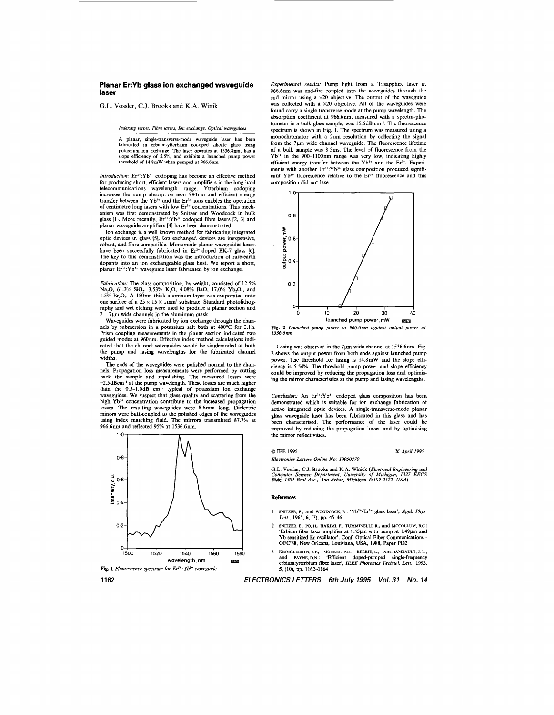## **Planar Er:Yb glass ion exchanged waveguide laser**

G.L. **Vossler,** C.J. Brooks and K.A. Winik

*Indexing ferms: Fibre lasers, Ion exchange, Optical waveguides* 

A planar, single-transverse-mode waveguide laser has **been**  fabricated in erbium-ytterbium codoped silicate glass using potassium ion exchange. The laser operates at **1536.8nm,** has a slope efficiency of *5.5%,* and exhibits a launched pump power threshold of 14.8mW when pumped at 966.6nm.

*Introduction:* Er3+:Yb3+ codoping has become an effective method for producing short, efficient lasers and amplifiers in the long haul telecommunications wavelength range. Ytterbium codoping telecommunications wavelength range. Ytterbium codoping increases the pump absorption near 980nm and efficient energy<br>transfer between the Yb<sup>3</sup><sup>+</sup> and the E<sup>13</sup><sup>+</sup> ions enables the operation<br>of centimetre long lasers with low E<sup>13</sup><sup>+</sup> concentrations. This mech-<br>anism was firs

optic devices in glass *[5].* Ion exchanged devices are inexpensive, robust, and fibre compatible. Monomode planar waveguides lasers<br>have been successfully fabricated in Er<sup>3+</sup>-doped BK-7 glass [6]. The key to this demonstration was the introduction of rare-earth dopants into an ion exchangeable glass host. We report a short, planar Er<sup>3+</sup>:Yb<sup>3+</sup> waveguide laser fabricated by ion exchange.

*Fabrication:* The glass composition, by weight, consisted of 12.5% Na<sub>2</sub>O, 61.3% SiO<sub>2</sub>, 3.53% K<sub>2</sub>O, 4.08% BaO, 17.0% Yb<sub>2</sub>O<sub>3</sub>, and 1.5% Er<sub>2</sub>O<sub>3</sub>. A 150nm thick aluminum layer was evaporated onto one surface of a  $25 \times 15 \times 1$  mm<sup>3</sup> substrate. Standard photolithog-<br>raphy and wet etching were used to produce a planar section and  $2 - 7 \mu m$  wide channels in the aluminum mask.

Waveguides were fabricated by ion exchange through the chan-nels by submersion in a potassium salt bath at **400°C** for 2.lh. Prism coupling measurements in the planar section indicated two guided modes at 960nm. Effective index method calculations indicated that the channel waveguides would be singlemoded at both the pump and lasing wavelengths for the fabricated channel widths.

The ends of the waveguides were polished normal to the channels. Propagation **loss** measurements were performed by cutting back the sample and repolishing. The measured losses  $\sim$ 2.5dBcm<sup>-1</sup> at the pump wavelength. These losses are much higher than the 0.5-1.0dB cm<sup>-1</sup> typical of potassium ion exchange waveguides. We suspect that glass quality and scattering from the high  $Yb<sup>3+</sup>$  concentration contribute to the increased propagation losses. The resulting waveguides were 8.6mm long. Dielectric minors were butt-coupled to the polished edges of the waveguides using index matching fluid. The mirrors transmitted 87.7% at 966.6nm and reflected 95% at 1536.6nm.





*Experimental results:* Pump light from a Tisapphire laser at 966.6nm was end-fire coupled into the waveguides through the end mirror using a x20 objective. The output of the waveguide was collected with a  $\times 20$  objective. All of the waveguides were found carry a single transverse mode at the pump wavelength. The absorption coefficient at 966.6nm. measured with a spectra-photometer in a bulk glass sample, was 15.6dB cm-'. The fluorescence spectrum is shown in [Fig.](#page-1-0) **1.** The spectrum was measured using a monochromator with a **2nm** resolution by collecting the signal from the 7µm wide channel waveguide. The fluorescence lifetime of a bulk sample was 8.5ms. The level of fluorescence from the Yb<sup>3+</sup> in the 900–1100nm range was very low, indicating highly efficient energy transfer between the Yb<sup>3+</sup> and the Er<sup>3+</sup>. Experiments with another Er<sup>3+</sup>:Yb<sup>3+</sup> glass composition produced significant Yb<sup>3+</sup> fluorescence relative to the Er<sup>3+</sup> fluorescence and this composition did not lase.



**[Fig.](#page-1-0) 2** *Launched pump power at* 966.6~1 *against output power at 1536.6nm* 

Lasing was observed in the 7µm wide channel at 1536.6nm. [Fig.](#page-1-0) [2](#page-1-0) shows the output power from both ends against launched pump power. The threshold for lasing is l4.8mW and the slope efficiency is 5.54%. The threshold pump power and slope efficiency could be improved by reducing the propagation loss and optimis-ing the mirror characteristics at the pump and lasing wavelengths.

*Conclusion:* An Er3+:Yb3+ codoped glass composition **has** been demonstrated which is suitable for ion exchange fabrication of active integrated optic devices. A single-transverse-mode planar glass waveguide laser has been fabricated in this **glass** and has **been** characterised. The performance of the laser could be improved by reducing the propagation **losses** and by optimising the mirror reflectivities.

*0* IEE 1995

*Electronics Letters Online No: 199S0770* 

*26 April 1995* 

G.L. Vossler, C.J. Brooks and K.A. Winick *(Electrical Engineering and Computer Science Department, University of Michigan, 1327 EECS Bldg, 1301 Beal Ave., Ann Arbor, Michigan 48109-2122, USA)* 

## References

- **1 SMTZER, E.,** and WWDCOCK, **R.:** 'Yb3+-Er3+ glass laser', *Appl. Phys.*  Lett., 1965, *6,* (3), pp. 45-46
- 2 **SNITZER. E., PO, H., HAKIMI, F., TUMMINELLI, R.,** and **MCCOLLUM, B.c.:**  Erbium fiber laser amplifier at 1.55µm with pump at 1.49µm and Yb sensitized Er oscillator'. Conf. Optical Fiber Communications - **OFC'88,** New Orleans, Louisiana, USA, **1988, Paper PD2**
- and **PAWE, D.N.:** 'Eficient doped-pumped single-frequency erbium:ytterbium fiber laser', *IEEE Photonics Technol. Lett.,* 1993, *5,* (IO), pp. 1162-1164 3 **KRINGLEBOTN, J.T., MORKEL, P.R., REEKIE, L., ARCHAMBAULT, J.-L.,**

**1162** *ELECTRONICS LETTERS 6th July 1995 Vol. 31 No. 14*